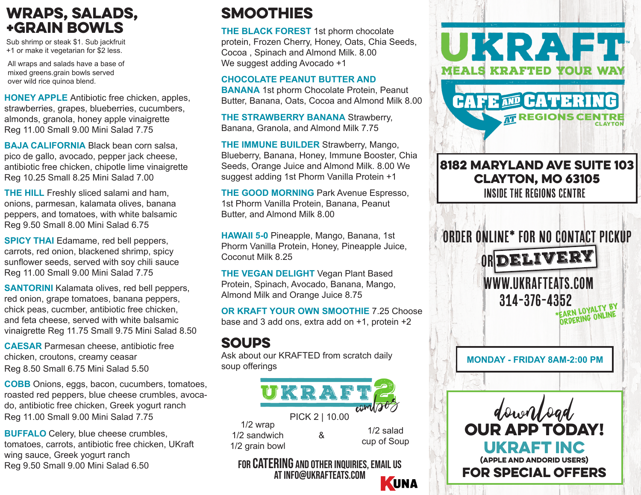## wraps, salads, +grain bowls

Sub shrimp or steak \$1. Sub jackfruit +1 or make it vegetarian for \$2 less.

All wraps and salads have a base of mixed greens.grain bowls served over wild rice quinoa blend.

**HONEY APPLE** Antibiotic free chicken, apples, strawberries, grapes, blueberries, cucumbers, almonds, granola, honey apple vinaigrette Reg 11.00 Small 9.00 Mini Salad 7.75

**BAJA CALIFORNIA** Black bean corn salsa, pico de gallo, avocado, pepper jack cheese, antibiotic free chicken, chipotle lime vinaigrette Reg 10.25 Small 8.25 Mini Salad 7.00

**THE HILL** Freshly sliced salami and ham, onions, parmesan, kalamata olives, banana peppers, and tomatoes, with white balsamic Reg 9.50 Small 8.00 Mini Salad 6.75

**SPICY THAI** Edamame, red bell peppers, carrots, red onion, blackened shrimp, spicy sunflower seeds, served with soy chili sauce Reg 11.00 Small 9.00 Mini Salad 7.75

**SANTORINI** Kalamata olives, red bell peppers, red onion, grape tomatoes, banana peppers, chick peas, cucmber, antibiotic free chicken, and feta cheese, served with white balsamic vinaigrette Reg 11.75 Small 9.75 Mini Salad 8.50

**CAESAR** Parmesan cheese, antibiotic free chicken, croutons, creamy ceasar Reg 8.50 Small 6.75 Mini Salad 5.50

**COBB** Onions, eggs, bacon, cucumbers, tomatoes, roasted red peppers, blue cheese crumbles, avocado, antibiotic free chicken, Greek yogurt ranch Reg 11.00 Small 9.00 Mini Salad 7.75

**BUFFALO** Celery, blue cheese crumbles, tomatoes, carrots, antibiotic free chicken, UKraft wing sauce, Greek yogurt ranch Reg 9.50 Small 9.00 Mini Salad 6.50

# **SMOOTHIES**

**THE BLACK FOREST** 1st phorm chocolate protein, Frozen Cherry, Honey, Oats, Chia Seeds, Cocoa , Spinach and Almond Milk. 8.00 We suggest adding Avocado +1

### **CHOCOLATE PEANUT BUTTER AND**

**BANANA** 1st phorm Chocolate Protein, Peanut Butter, Banana, Oats, Cocoa and Almond Milk 8.00

**THE STRAWBERRY BANANA** Strawberry, Banana, Granola, and Almond Milk 7.75

**THE IMMUNE BUILDER** Strawberry, Mango, Blueberry, Banana, Honey, Immune Booster, Chia Seeds, Orange Juice and Almond Milk. 8.00 We suggest adding 1st Phorm Vanilla Protein +1

**THE GOOD MORNING** Park Avenue Espresso, 1st Phorm Vanilla Protein, Banana, Peanut Butter, and Almond Milk 8.00

**HAWAII 5-0** Pineapple, Mango, Banana, 1st Phorm Vanilla Protein, Honey, Pineapple Juice, Coconut Milk 8.25

**THE VEGAN DELIGHT** Vegan Plant Based Protein, Spinach, Avocado, Banana, Mango, Almond Milk and Orange Juice 8.75

**OR KRAFT YOUR OWN SMOOTHIE** 7.25 Choose base and 3 add ons, extra add on +1, protein +2

## **SOUPS**

Ask about our KRAFTED from scratch daily soup offerings